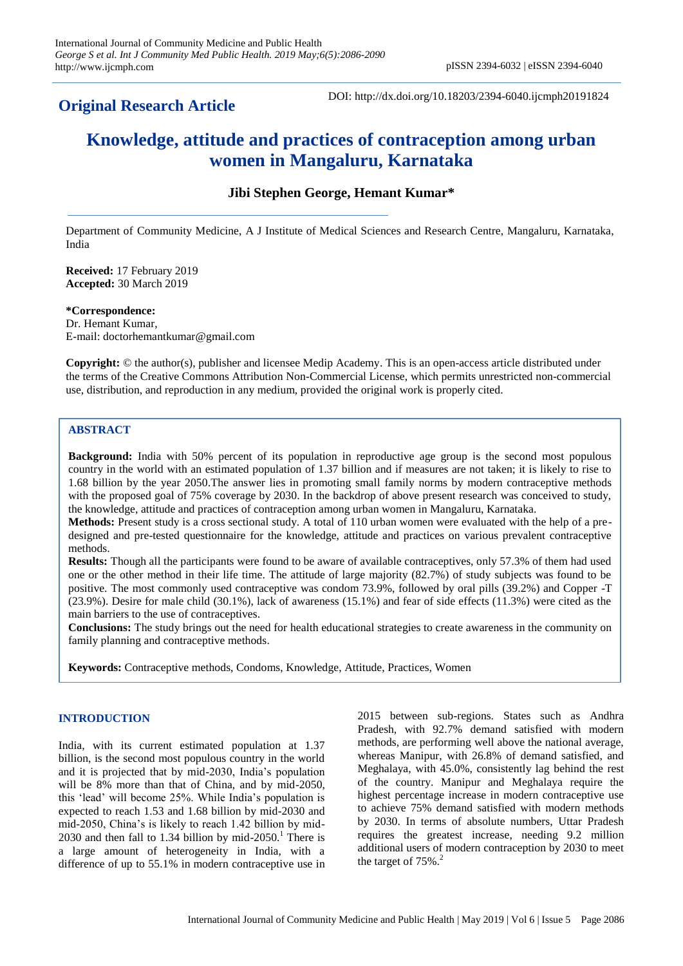# **Original Research Article**

DOI: http://dx.doi.org/10.18203/2394-6040.ijcmph20191824

# **Knowledge, attitude and practices of contraception among urban women in Mangaluru, Karnataka**

# **Jibi Stephen George, Hemant Kumar\***

Department of Community Medicine, A J Institute of Medical Sciences and Research Centre, Mangaluru, Karnataka, India

**Received:** 17 February 2019 **Accepted:** 30 March 2019

**\*Correspondence:** Dr. Hemant Kumar, E-mail: doctorhemantkumar@gmail.com

**Copyright:** © the author(s), publisher and licensee Medip Academy. This is an open-access article distributed under the terms of the Creative Commons Attribution Non-Commercial License, which permits unrestricted non-commercial use, distribution, and reproduction in any medium, provided the original work is properly cited.

# **ABSTRACT**

**Background:** India with 50% percent of its population in reproductive age group is the second most populous country in the world with an estimated population of 1.37 billion and if measures are not taken; it is likely to rise to 1.68 billion by the year 2050.The answer lies in promoting small family norms by modern contraceptive methods with the proposed goal of 75% coverage by 2030. In the backdrop of above present research was conceived to study, the knowledge, attitude and practices of contraception among urban women in Mangaluru, Karnataka.

**Methods:** Present study is a cross sectional study. A total of 110 urban women were evaluated with the help of a predesigned and pre-tested questionnaire for the knowledge, attitude and practices on various prevalent contraceptive methods.

**Results:** Though all the participants were found to be aware of available contraceptives, only 57.3% of them had used one or the other method in their life time. The attitude of large majority (82.7%) of study subjects was found to be positive. The most commonly used contraceptive was condom 73.9%, followed by oral pills (39.2%) and Copper -T (23.9%). Desire for male child (30.1%), lack of awareness (15.1%) and fear of side effects (11.3%) were cited as the main barriers to the use of contraceptives.

**Conclusions:** The study brings out the need for health educational strategies to create awareness in the community on family planning and contraceptive methods.

**Keywords:** Contraceptive methods, Condoms, Knowledge, Attitude, Practices, Women

# **INTRODUCTION**

India, with its current estimated population at 1.37 billion, is the second most populous country in the world and it is projected that by mid-2030, India's population will be 8% more than that of China, and by mid-2050, this 'lead' will become 25%. While India's population is expected to reach 1.53 and 1.68 billion by mid-2030 and mid-2050, China's is likely to reach 1.42 billion by mid-2030 and then fall to 1.34 billion by mid-2050.<sup>1</sup> There is a large amount of heterogeneity in India, with a difference of up to 55.1% in modern contraceptive use in 2015 between sub-regions. States such as Andhra Pradesh, with 92.7% demand satisfied with modern methods, are performing well above the national average, whereas Manipur, with 26.8% of demand satisfied, and Meghalaya, with 45.0%, consistently lag behind the rest of the country. Manipur and Meghalaya require the highest percentage increase in modern contraceptive use to achieve 75% demand satisfied with modern methods by 2030. In terms of absolute numbers, Uttar Pradesh requires the greatest increase, needing 9.2 million additional users of modern contraception by 2030 to meet the target of  $75\%$ .<sup>2</sup>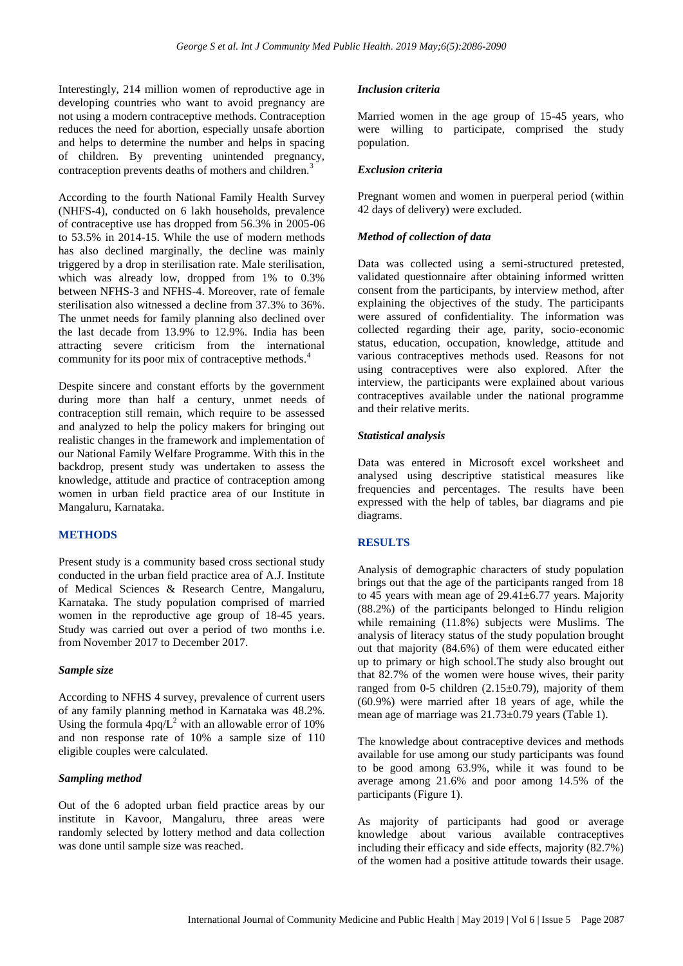Interestingly, 214 million women of reproductive age in developing countries who want to avoid pregnancy are not using a modern contraceptive methods. Contraception reduces the need for abortion, especially unsafe abortion and helps to determine the number and helps in spacing of children. By preventing unintended pregnancy, contraception prevents deaths of mothers and children.<sup>3</sup>

According to the fourth National Family Health Survey (NHFS-4), conducted on 6 lakh households, prevalence of contraceptive use has dropped from 56.3% in 2005-06 to 53.5% in 2014-15. While the use of modern methods has also declined marginally, the decline was mainly triggered by a drop in sterilisation rate. Male sterilisation, which was already low, dropped from 1% to 0.3% between NFHS-3 and NFHS-4. Moreover, rate of female sterilisation also witnessed a decline from 37.3% to 36%. The unmet needs for family planning also declined over the last decade from 13.9% to 12.9%. India has been attracting severe criticism from the international community for its poor mix of contraceptive methods.<sup>4</sup>

Despite sincere and constant efforts by the government during more than half a century, unmet needs of contraception still remain, which require to be assessed and analyzed to help the policy makers for bringing out realistic changes in the framework and implementation of our National Family Welfare Programme. With this in the backdrop, present study was undertaken to assess the knowledge, attitude and practice of contraception among women in urban field practice area of our Institute in Mangaluru, Karnataka.

# **METHODS**

Present study is a community based cross sectional study conducted in the urban field practice area of A.J. Institute of Medical Sciences & Research Centre, Mangaluru, Karnataka. The study population comprised of married women in the reproductive age group of 18-45 years. Study was carried out over a period of two months i.e. from November 2017 to December 2017.

# *Sample size*

According to NFHS 4 survey, prevalence of current users of any family planning method in Karnataka was 48.2%. Using the formula  $4pq/L^2$  with an allowable error of 10% and non response rate of 10% a sample size of 110 eligible couples were calculated.

#### *Sampling method*

Out of the 6 adopted urban field practice areas by our institute in Kavoor, Mangaluru, three areas were randomly selected by lottery method and data collection was done until sample size was reached.

#### *Inclusion criteria*

Married women in the age group of 15-45 years, who were willing to participate, comprised the study population.

#### *Exclusion criteria*

Pregnant women and women in puerperal period (within 42 days of delivery) were excluded.

#### *Method of collection of data*

Data was collected using a semi-structured pretested, validated questionnaire after obtaining informed written consent from the participants, by interview method, after explaining the objectives of the study. The participants were assured of confidentiality. The information was collected regarding their age, parity, socio-economic status, education, occupation, knowledge, attitude and various contraceptives methods used. Reasons for not using contraceptives were also explored. After the interview, the participants were explained about various contraceptives available under the national programme and their relative merits.

# *Statistical analysis*

Data was entered in Microsoft excel worksheet and analysed using descriptive statistical measures like frequencies and percentages. The results have been expressed with the help of tables, bar diagrams and pie diagrams.

#### **RESULTS**

Analysis of demographic characters of study population brings out that the age of the participants ranged from 18 to 45 years with mean age of  $29.41 \pm 6.77$  years. Majority (88.2%) of the participants belonged to Hindu religion while remaining (11.8%) subjects were Muslims. The analysis of literacy status of the study population brought out that majority (84.6%) of them were educated either up to primary or high school.The study also brought out that 82.7% of the women were house wives, their parity ranged from 0-5 children  $(2.15\pm0.79)$ , majority of them (60.9%) were married after 18 years of age, while the mean age of marriage was 21.73±0.79 years (Table 1).

The knowledge about contraceptive devices and methods available for use among our study participants was found to be good among 63.9%, while it was found to be average among 21.6% and poor among 14.5% of the participants (Figure 1).

As majority of participants had good or average knowledge about various available contraceptives including their efficacy and side effects, majority  $(82.7%)$ of the women had a positive attitude towards their usage.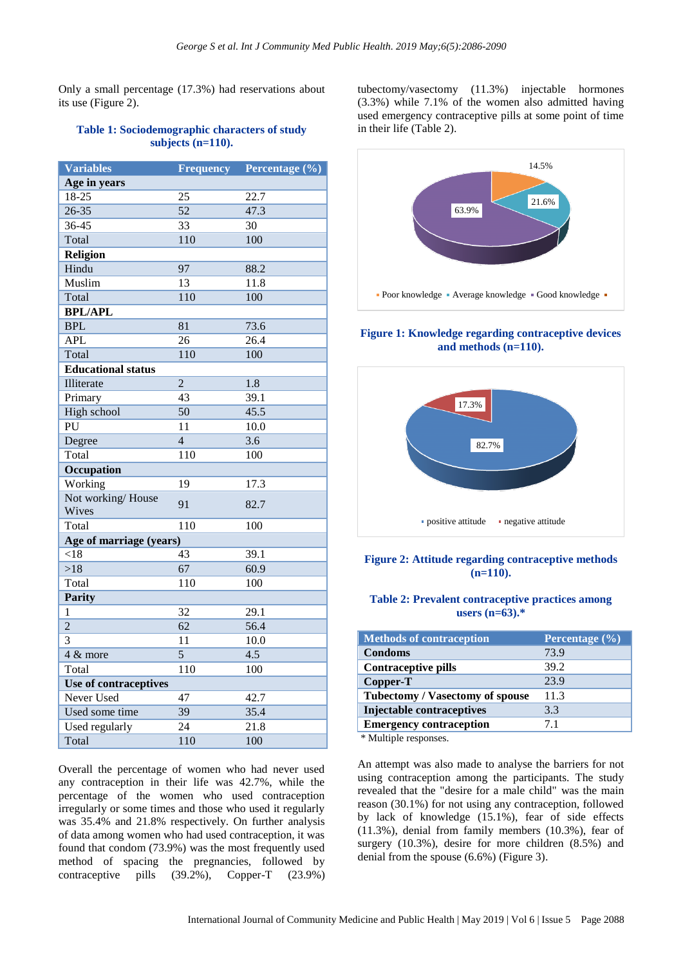Only a small percentage (17.3%) had reservations about its use (Figure 2).

#### **Table 1: Sociodemographic characters of study subjects (n=110).**

| <b>Variables</b>          | <b>Frequency</b> | Percentage (%)    |
|---------------------------|------------------|-------------------|
| Age in years              |                  |                   |
| 18-25                     | 25               | 22.7              |
| $26 - 35$                 | 52               | 47.3              |
| 36-45                     | 33               | 30                |
| Total                     | 110              | 100               |
| <b>Religion</b>           |                  |                   |
| Hindu                     | 97               | 88.2              |
| Muslim                    | $\overline{13}$  | 11.8              |
| Total                     | 110              | 100               |
| <b>BPL/APL</b>            |                  |                   |
| <b>BPL</b>                | 81               | 73.6              |
| <b>APL</b>                | $\overline{26}$  | $\overline{26.4}$ |
| Total                     | 110              | 100               |
| <b>Educational status</b> |                  |                   |
| Illiterate                | $\overline{2}$   | $\overline{1.8}$  |
| Primary                   | $\overline{43}$  | 39.1              |
| High school               | $\overline{50}$  | 45.5              |
| PU                        | 11               | 10.0              |
| Degree                    | $\overline{4}$   | 3.6               |
| Total                     | 110              | 100               |
| Occupation                |                  |                   |
| Working                   | 19               | 17.3              |
| Not working/House         | 91               | 82.7              |
| Wives                     |                  |                   |
| Total                     | 110              | 100               |
| Age of marriage (years)   |                  |                   |
| < 18                      | 43               | 39.1              |
| >18                       | 67               | 60.9              |
| Total                     | 110              | 100               |
| <b>Parity</b>             |                  |                   |
| 1                         | 32               | 29.1              |
| $\overline{2}$            | 62               | 56.4              |
| 3                         | 11               | 10.0              |
| 4 & more                  | $\overline{5}$   | 4.5               |
| Total                     | 110              | 100               |
| Use of contraceptives     |                  |                   |
| <b>Never Used</b>         | 47               | 42.7              |
| Used some time            | 39               | 35.4              |
| Used regularly            | 24               | 21.8              |
| Total                     | 110              | 100               |

Overall the percentage of women who had never used any contraception in their life was 42.7%, while the percentage of the women who used contraception irregularly or some times and those who used it regularly was 35.4% and 21.8% respectively. On further analysis of data among women who had used contraception, it was found that condom (73.9%) was the most frequently used method of spacing the pregnancies, followed by contraceptive pills (39.2%), Copper-T (23.9%)

tubectomy/vasectomy (11.3%) injectable hormones (3.3%) while 7.1% of the women also admitted having used emergency contraceptive pills at some point of time in their life (Table 2).



**Figure 1: Knowledge regarding contraceptive devices and methods (n=110).**



# **Figure 2: Attitude regarding contraceptive methods (n=110).**

# **Table 2: Prevalent contraceptive practices among users (n=63).\***

| <b>Methods of contraception</b>        | Percentage (%) |
|----------------------------------------|----------------|
| <b>Condoms</b>                         | 73.9           |
| <b>Contraceptive pills</b>             | 39.2           |
| Copper-T                               | 23.9           |
| <b>Tubectomy / Vasectomy of spouse</b> | 11.3           |
| Injectable contraceptives              | 3.3            |
| <b>Emergency contraception</b>         | 71             |
| $4.34 \pm 1.1 \pm 1.1$                 |                |

\* Multiple responses.

An attempt was also made to analyse the barriers for not using contraception among the participants. The study revealed that the "desire for a male child" was the main reason (30.1%) for not using any contraception, followed by lack of knowledge (15.1%), fear of side effects (11.3%), denial from family members (10.3%), fear of surgery (10.3%), desire for more children (8.5%) and denial from the spouse (6.6%) (Figure 3).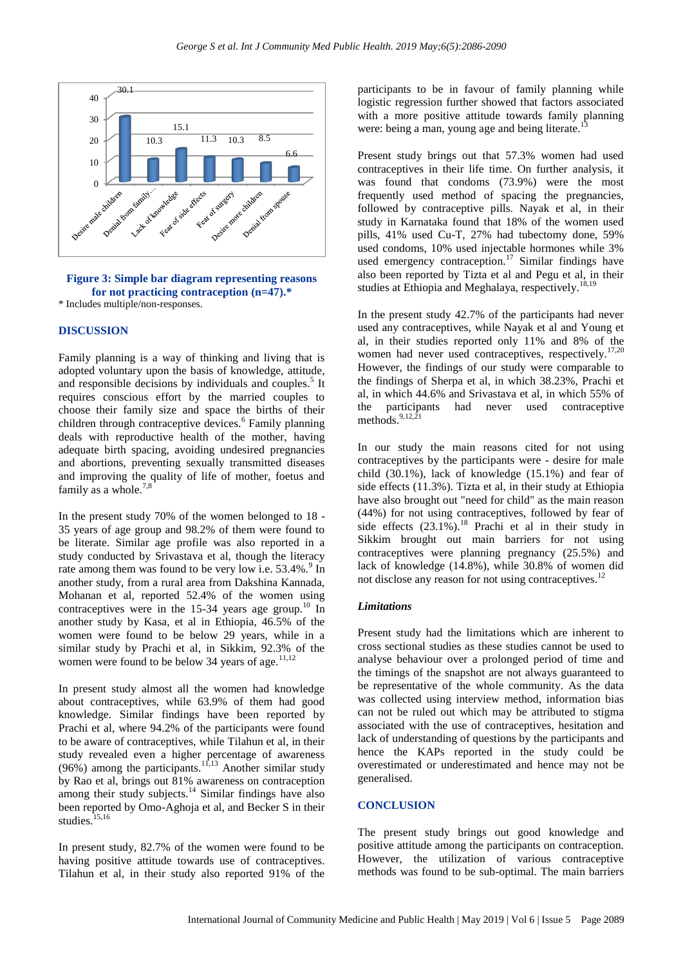

**Figure 3: Simple bar diagram representing reasons for not practicing contraception (n=47).\*** \* Includes multiple/non-responses.

#### **DISCUSSION**

Family planning is a way of thinking and living that is adopted voluntary upon the basis of knowledge, attitude, and responsible decisions by individuals and couples.<sup>5</sup> It requires conscious effort by the married couples to choose their family size and space the births of their children through contraceptive devices.<sup>6</sup> Family planning deals with reproductive health of the mother, having adequate birth spacing, avoiding undesired pregnancies and abortions, preventing sexually transmitted diseases and improving the quality of life of mother, foetus and family as a whole. $7$ ,

In the present study 70% of the women belonged to 18 - 35 years of age group and 98.2% of them were found to be literate. Similar age profile was also reported in a study conducted by Srivastava et al, though the literacy rate among them was found to be very low i.e.  $53.4\%$ . <sup>9</sup> In another study, from a rural area from Dakshina Kannada, Mohanan et al, reported 52.4% of the women using contraceptives were in the  $15-34$  years age group.<sup>10</sup> In another study by Kasa, et al in Ethiopia, 46.5% of the women were found to be below 29 years, while in a similar study by Prachi et al, in Sikkim, 92.3% of the women were found to be below 34 years of age. $11,12$ 

In present study almost all the women had knowledge about contraceptives, while 63.9% of them had good knowledge. Similar findings have been reported by Prachi et al, where 94.2% of the participants were found to be aware of contraceptives, while Tilahun et al, in their study revealed even a higher percentage of awareness (96%) among the participants.<sup>11,13</sup> Another similar study by Rao et al, brings out 81% awareness on contraception among their study subjects. $14$  Similar findings have also been reported by Omo-Aghoja et al, and Becker S in their studies.<sup>15,16</sup>

In present study, 82.7% of the women were found to be having positive attitude towards use of contraceptives. Tilahun et al, in their study also reported 91% of the

participants to be in favour of family planning while logistic regression further showed that factors associated with a more positive attitude towards family planning were: being a man, young age and being literate.

Present study brings out that 57.3% women had used contraceptives in their life time. On further analysis, it was found that condoms (73.9%) were the most frequently used method of spacing the pregnancies, followed by contraceptive pills. Nayak et al, in their study in Karnataka found that 18% of the women used pills, 41% used Cu-T, 27% had tubectomy done, 59% used condoms, 10% used injectable hormones while 3% used emergency contraception.<sup>17</sup> Similar findings have also been reported by Tizta et al and Pegu et al, in their studies at Ethiopia and Meghalaya, respectively.<sup>18,19</sup>

In the present study 42.7% of the participants had never used any contraceptives, while Nayak et al and Young et al, in their studies reported only 11% and 8% of the women had never used contraceptives, respectively.<sup>17,20</sup> However, the findings of our study were comparable to the findings of Sherpa et al, in which 38.23%, Prachi et al, in which 44.6% and Srivastava et al, in which 55% of the participants had never used contraceptive methods.<sup>9,12,2</sup>

In our study the main reasons cited for not using contraceptives by the participants were - desire for male child (30.1%), lack of knowledge (15.1%) and fear of side effects (11.3%). Tizta et al, in their study at Ethiopia have also brought out "need for child" as the main reason (44%) for not using contraceptives, followed by fear of side effects  $(23.1\%)$ .<sup>18</sup> Prachi et al in their study in Sikkim brought out main barriers for not using contraceptives were planning pregnancy (25.5%) and lack of knowledge (14.8%), while 30.8% of women did not disclose any reason for not using contraceptives.<sup>12</sup>

#### *Limitations*

Present study had the limitations which are inherent to cross sectional studies as these studies cannot be used to analyse behaviour over a prolonged period of time and the timings of the snapshot are not always guaranteed to be representative of the whole community. As the data was collected using interview method, information bias can not be ruled out which may be attributed to stigma associated with the use of contraceptives, hesitation and lack of understanding of questions by the participants and hence the KAPs reported in the study could be overestimated or underestimated and hence may not be generalised.

#### **CONCLUSION**

The present study brings out good knowledge and positive attitude among the participants on contraception. However, the utilization of various contraceptive methods was found to be sub-optimal. The main barriers